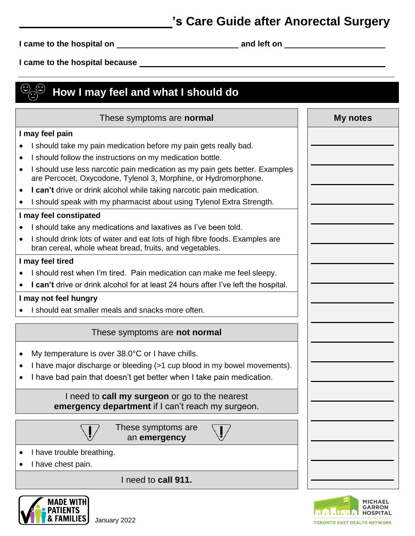## **'s Care Guide after Anorectal Surgery**

**I came to the hospital on and left on** 

**I came to the hospital because** 

| How I may feel and what I should do                                                                                                                         |          |
|-------------------------------------------------------------------------------------------------------------------------------------------------------------|----------|
| These symptoms are <b>normal</b>                                                                                                                            | My notes |
| I may feel pain                                                                                                                                             |          |
| I should take my pain medication before my pain gets really bad.                                                                                            |          |
| I should follow the instructions on my medication bottle.                                                                                                   |          |
| I should use less narcotic pain medication as my pain gets better. Examples<br>$\bullet$<br>are Percocet, Oxycodone, Tylenol 3, Morphine, or Hydromorphone. |          |
| I can't drive or drink alcohol while taking narcotic pain medication.<br>٠                                                                                  |          |
| I should speak with my pharmacist about using Tylenol Extra Strength.                                                                                       |          |
| I may feel constipated                                                                                                                                      |          |
| I should take any medications and laxatives as I've been told.                                                                                              |          |
| I should drink lots of water and eat lots of high fibre foods. Examples are<br>bran cereal, whole wheat bread, fruits, and vegetables.                      |          |
| I may feel tired                                                                                                                                            |          |
| I should rest when I'm tired. Pain medication can make me feel sleepy.                                                                                      |          |
| I can't drive or drink alcohol for at least 24 hours after I've left the hospital.                                                                          |          |
| I may not feel hungry                                                                                                                                       |          |
| I should eat smaller meals and snacks more often.                                                                                                           |          |
| These symptoms are not normal                                                                                                                               |          |
| My temperature is over $38.0^{\circ}$ C or I have chills.<br>٠                                                                                              |          |
| I have major discharge or bleeding (>1 cup blood in my bowel movements).<br>٠                                                                               |          |
| I have bad pain that doesn't get better when I take pain medication.                                                                                        |          |
| I need to <b>call my surgeon</b> or go to the nearest<br>emergency department if I can't reach my surgeon.                                                  |          |
| These symptoms are<br>an emergency                                                                                                                          |          |
| I have trouble breathing.                                                                                                                                   |          |
| I have chest pain.                                                                                                                                          |          |
| I need to call 911.                                                                                                                                         |          |



**MADE WITH** 

& FAMILIES

**PATIENTS** 

Ĭ